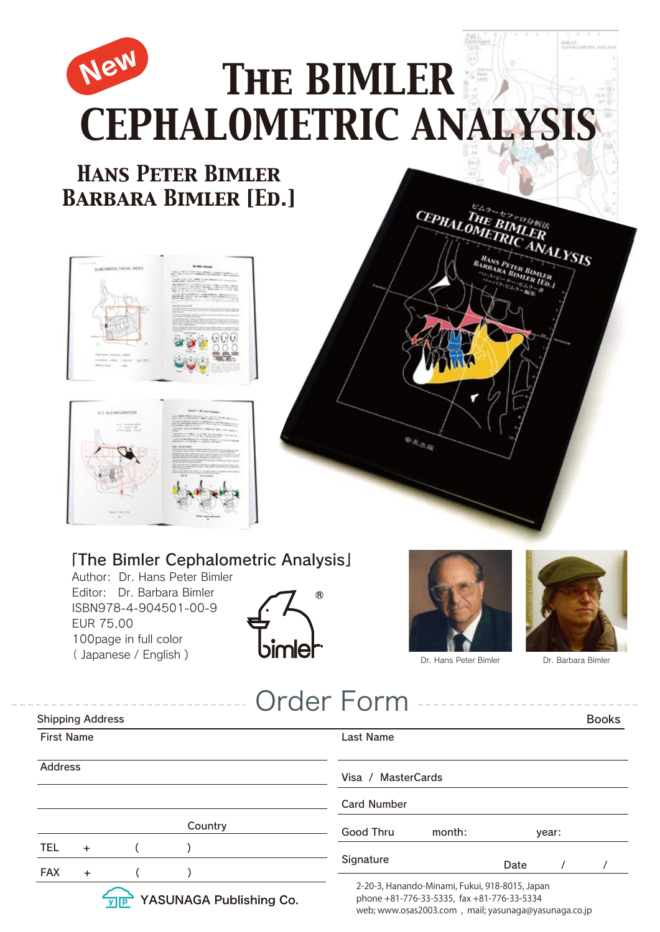

## 「The Bimler Cephalometric Analysis」

Author: Dr. Hans Peter Bimler Editor: Dr. Barbara Bimler ISBN978-4-904501-00-9 EUR 75,00 100page in full color ( Japanese / English )





web; www.osas2003.com , mail; yasunaga@yasunaga.co.jp



Dr. Barbara Bimler

|                         |           |  |                         |  | <b>Order Form</b>                        | _____________                                                                                |       |  |              |
|-------------------------|-----------|--|-------------------------|--|------------------------------------------|----------------------------------------------------------------------------------------------|-------|--|--------------|
| <b>Shipping Address</b> |           |  |                         |  |                                          |                                                                                              |       |  | <b>Books</b> |
| <b>First Name</b>       |           |  |                         |  | Last Name                                |                                                                                              |       |  |              |
| Address                 |           |  |                         |  | Visa / MasterCards<br><b>Card Number</b> |                                                                                              |       |  |              |
|                         |           |  | Country                 |  | Good Thru                                | month:                                                                                       | year: |  |              |
| <b>TEL</b>              | $+$       |  |                         |  |                                          |                                                                                              |       |  |              |
| <b>FAX</b>              | $\ddot{}$ |  |                         |  | Signature                                |                                                                                              | Date  |  |              |
|                         |           |  | YASUNAGA Publishing Co. |  |                                          | 2-20-3, Hanando-Minami, Fukui, 918-8015, Japan<br>phone +81-776-33-5335, fax +81-776-33-5334 |       |  |              |